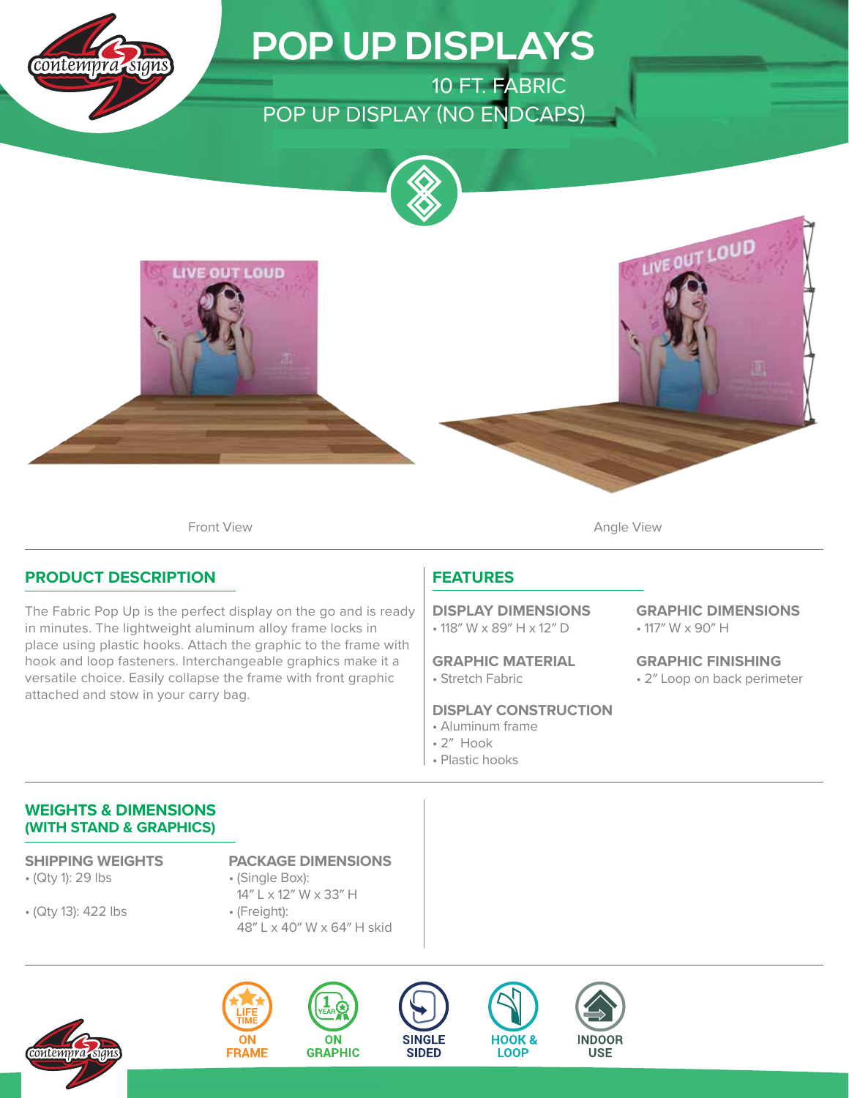

# **POP UP DISPLAYS**

ONE CHOICE 10 FT. FABRIC POP UP DISPLAY (NO ENDCAPS)





Front View **Angle View Angle View** 

### **PRODUCT DESCRIPTION**

The Fabric Pop Up is the perfect display on the go and is ready in minutes. The lightweight aluminum alloy frame locks in place using plastic hooks. Attach the graphic to the frame with hook and loop fasteners. Interchangeable graphics make it a versatile choice. Easily collapse the frame with front graphic attached and stow in your carry bag.

## **FEATURES**

• 118″ W x 89″ H x 12″ D **DISPLAY DIMENSIONS**

• Stretch Fabric **GRAPHIC MATERIAL**

#### **DISPLAY CONSTRUCTION**

- Aluminum frame
- 2″ Hook
- Plastic hooks

• 117″ W x 90″ H **GRAPHIC DIMENSIONS**

• 2″ Loop on back perimeter **GRAPHIC FINISHING**

#### **WEIGHTS & DIMENSIONS (WITH STAND & GRAPHICS)**

• (Qty 1): 29 lbs

• (Qty 13): 422 lbs

**SHIPPING WEIGHTS PACKAGE DIMENSIONS**

- (Single Box): 14″ L x 12″ W x 33″ H
- (Freight): 48″ L x 40″ W x 64″ H skid

**ON** 

**GRAPHIC** 









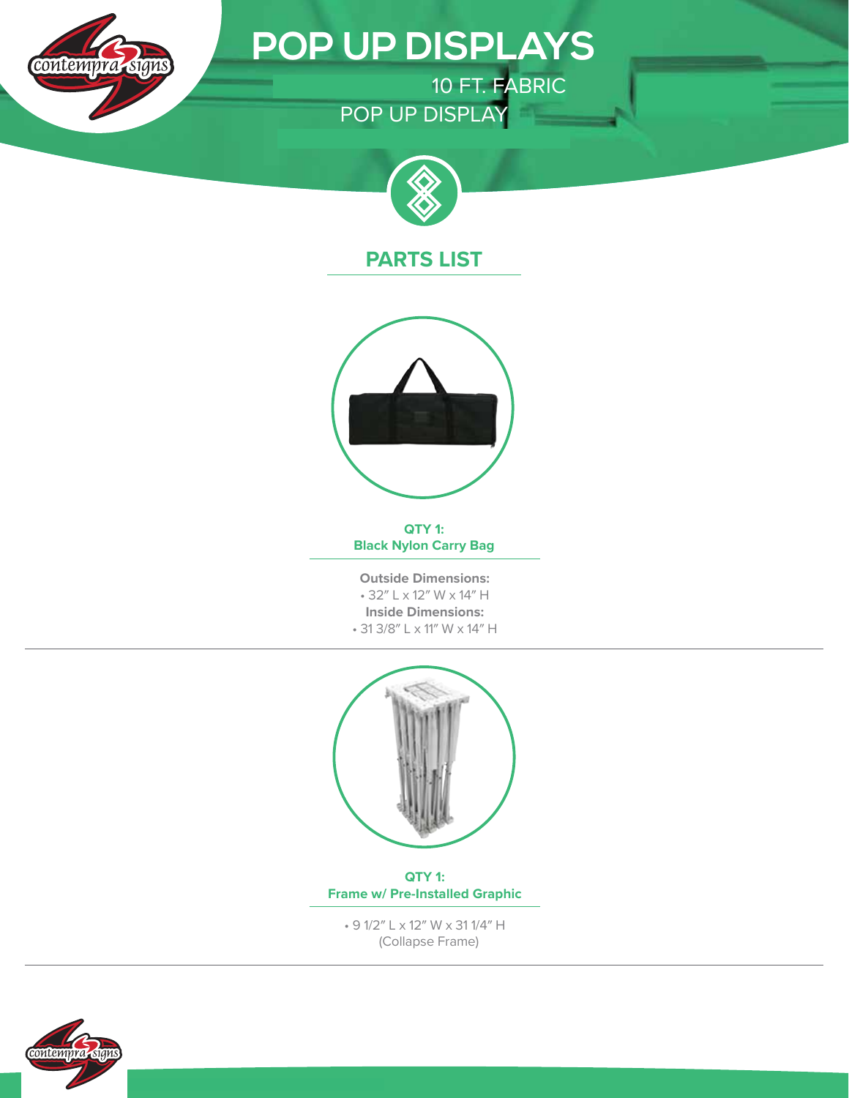

# **POP UP DISPLAYS**

ONE CHOICE 10 FT. FABRIC POP UP DISPLAY



## **PARTS LIST**



**QTY 1: Black Nylon Carry Bag**

**Outside Dimensions:** • 32″ L x 12″ W x 14″ H **Inside Dimensions:** • 31 3/8″ L x 11″ W x 14″ H



**QTY 1: Frame w/ Pre-Installed Graphic**

• 9 1/2″ L x 12″ W x 31 1/4″ H (Collapse Frame)